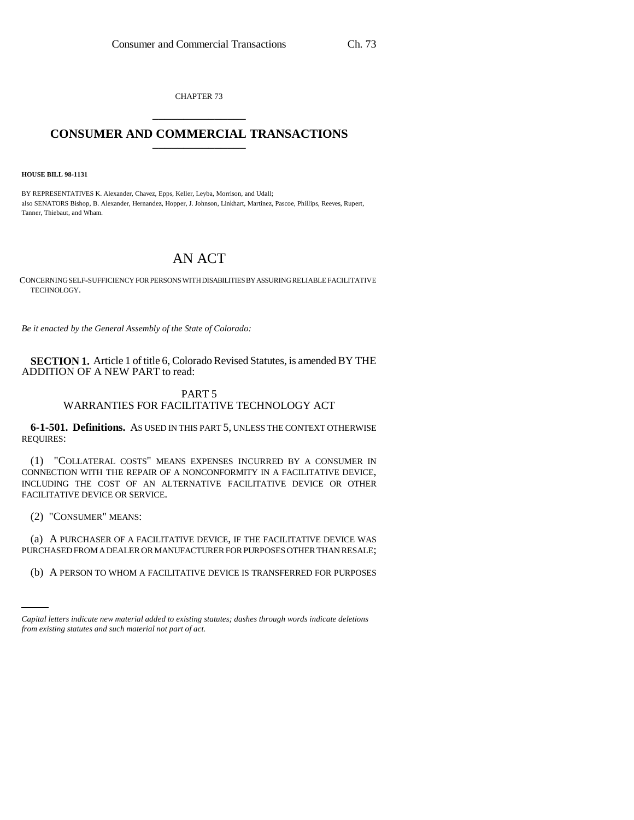CHAPTER 73 \_\_\_\_\_\_\_\_\_\_\_\_\_\_\_

## **CONSUMER AND COMMERCIAL TRANSACTIONS** \_\_\_\_\_\_\_\_\_\_\_\_\_\_\_

**HOUSE BILL 98-1131**

BY REPRESENTATIVES K. Alexander, Chavez, Epps, Keller, Leyba, Morrison, and Udall; also SENATORS Bishop, B. Alexander, Hernandez, Hopper, J. Johnson, Linkhart, Martinez, Pascoe, Phillips, Reeves, Rupert, Tanner, Thiebaut, and Wham.

## AN ACT

CONCERNING SELF-SUFFICIENCY FOR PERSONS WITH DISABILITIES BY ASSURING RELIABLE FACILITATIVE TECHNOLOGY.

*Be it enacted by the General Assembly of the State of Colorado:*

**SECTION 1.** Article 1 of title 6, Colorado Revised Statutes, is amended BY THE ADDITION OF A NEW PART to read:

## PART 5 WARRANTIES FOR FACILITATIVE TECHNOLOGY ACT

**6-1-501. Definitions.** AS USED IN THIS PART 5, UNLESS THE CONTEXT OTHERWISE REQUIRES:

(1) "COLLATERAL COSTS" MEANS EXPENSES INCURRED BY A CONSUMER IN CONNECTION WITH THE REPAIR OF A NONCONFORMITY IN A FACILITATIVE DEVICE, INCLUDING THE COST OF AN ALTERNATIVE FACILITATIVE DEVICE OR OTHER FACILITATIVE DEVICE OR SERVICE.

(2) "CONSUMER" MEANS:

PURCHASED FROM A DEALER OR MANUFACTURER FOR PURPOSES OTHER THAN RESALE; (a) A PURCHASER OF A FACILITATIVE DEVICE, IF THE FACILITATIVE DEVICE WAS

(b) A PERSON TO WHOM A FACILITATIVE DEVICE IS TRANSFERRED FOR PURPOSES

*Capital letters indicate new material added to existing statutes; dashes through words indicate deletions from existing statutes and such material not part of act.*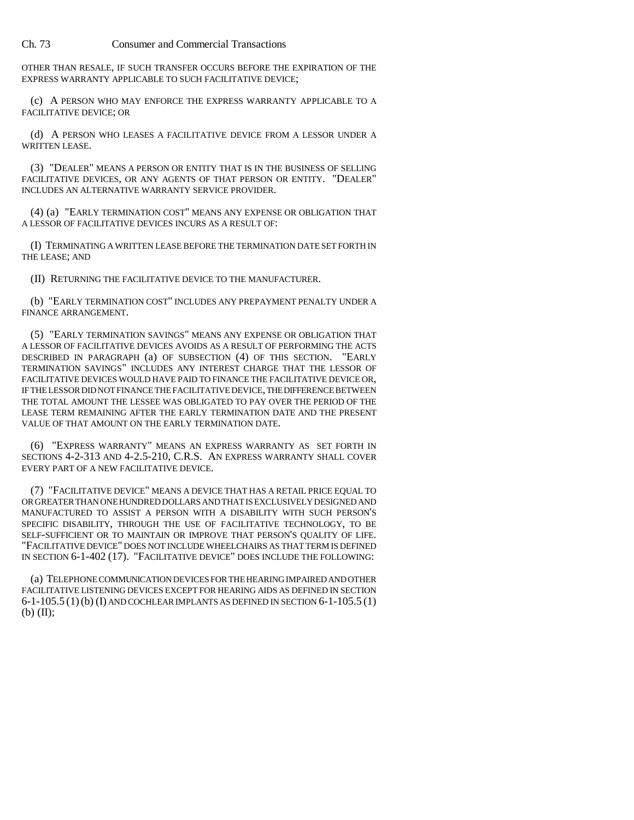Ch. 73 Consumer and Commercial Transactions

OTHER THAN RESALE, IF SUCH TRANSFER OCCURS BEFORE THE EXPIRATION OF THE EXPRESS WARRANTY APPLICABLE TO SUCH FACILITATIVE DEVICE;

(c) A PERSON WHO MAY ENFORCE THE EXPRESS WARRANTY APPLICABLE TO A FACILITATIVE DEVICE; OR

(d) A PERSON WHO LEASES A FACILITATIVE DEVICE FROM A LESSOR UNDER A WRITTEN LEASE.

(3) "DEALER" MEANS A PERSON OR ENTITY THAT IS IN THE BUSINESS OF SELLING FACILITATIVE DEVICES, OR ANY AGENTS OF THAT PERSON OR ENTITY. "DEALER" INCLUDES AN ALTERNATIVE WARRANTY SERVICE PROVIDER.

(4) (a) "EARLY TERMINATION COST" MEANS ANY EXPENSE OR OBLIGATION THAT A LESSOR OF FACILITATIVE DEVICES INCURS AS A RESULT OF:

(I) TERMINATING A WRITTEN LEASE BEFORE THE TERMINATION DATE SET FORTH IN THE LEASE; AND

(II) RETURNING THE FACILITATIVE DEVICE TO THE MANUFACTURER.

(b) "EARLY TERMINATION COST" INCLUDES ANY PREPAYMENT PENALTY UNDER A FINANCE ARRANGEMENT.

(5) "EARLY TERMINATION SAVINGS" MEANS ANY EXPENSE OR OBLIGATION THAT A LESSOR OF FACILITATIVE DEVICES AVOIDS AS A RESULT OF PERFORMING THE ACTS DESCRIBED IN PARAGRAPH (a) OF SUBSECTION (4) OF THIS SECTION. "EARLY TERMINATION SAVINGS" INCLUDES ANY INTEREST CHARGE THAT THE LESSOR OF FACILITATIVE DEVICES WOULD HAVE PAID TO FINANCE THE FACILITATIVE DEVICE OR, IF THE LESSOR DID NOT FINANCE THE FACILITATIVE DEVICE, THE DIFFERENCE BETWEEN THE TOTAL AMOUNT THE LESSEE WAS OBLIGATED TO PAY OVER THE PERIOD OF THE LEASE TERM REMAINING AFTER THE EARLY TERMINATION DATE AND THE PRESENT VALUE OF THAT AMOUNT ON THE EARLY TERMINATION DATE.

(6) "EXPRESS WARRANTY" MEANS AN EXPRESS WARRANTY AS SET FORTH IN SECTIONS 4-2-313 AND 4-2.5-210, C.R.S. AN EXPRESS WARRANTY SHALL COVER EVERY PART OF A NEW FACILITATIVE DEVICE.

(7) "FACILITATIVE DEVICE" MEANS A DEVICE THAT HAS A RETAIL PRICE EQUAL TO OR GREATER THAN ONE HUNDRED DOLLARS AND THAT IS EXCLUSIVELY DESIGNED AND MANUFACTURED TO ASSIST A PERSON WITH A DISABILITY WITH SUCH PERSON'S SPECIFIC DISABILITY, THROUGH THE USE OF FACILITATIVE TECHNOLOGY, TO BE SELF-SUFFICIENT OR TO MAINTAIN OR IMPROVE THAT PERSON'S QUALITY OF LIFE. "FACILITATIVE DEVICE" DOES NOT INCLUDE WHEELCHAIRS AS THAT TERM IS DEFINED IN SECTION 6-1-402 (17). "FACILITATIVE DEVICE" DOES INCLUDE THE FOLLOWING:

(a) TELEPHONE COMMUNICATION DEVICES FOR THE HEARING IMPAIRED AND OTHER FACILITATIVE LISTENING DEVICES EXCEPT FOR HEARING AIDS AS DEFINED IN SECTION  $6-1-105.5$  (1)(b) (I) AND COCHLEAR IMPLANTS AS DEFINED IN SECTION  $6-1-105.5$  (1)  $(b)$   $(II)$ ;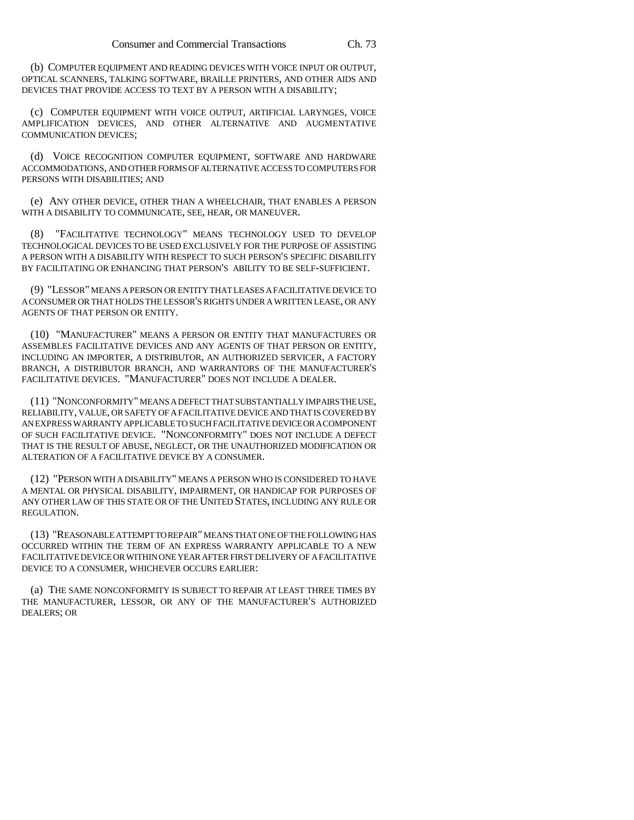(b) COMPUTER EQUIPMENT AND READING DEVICES WITH VOICE INPUT OR OUTPUT, OPTICAL SCANNERS, TALKING SOFTWARE, BRAILLE PRINTERS, AND OTHER AIDS AND DEVICES THAT PROVIDE ACCESS TO TEXT BY A PERSON WITH A DISABILITY;

(c) COMPUTER EQUIPMENT WITH VOICE OUTPUT, ARTIFICIAL LARYNGES, VOICE AMPLIFICATION DEVICES, AND OTHER ALTERNATIVE AND AUGMENTATIVE COMMUNICATION DEVICES;

(d) VOICE RECOGNITION COMPUTER EQUIPMENT, SOFTWARE AND HARDWARE ACCOMMODATIONS, AND OTHER FORMS OF ALTERNATIVE ACCESS TO COMPUTERS FOR PERSONS WITH DISABILITIES; AND

(e) ANY OTHER DEVICE, OTHER THAN A WHEELCHAIR, THAT ENABLES A PERSON WITH A DISABILITY TO COMMUNICATE, SEE, HEAR, OR MANEUVER.

(8) "FACILITATIVE TECHNOLOGY" MEANS TECHNOLOGY USED TO DEVELOP TECHNOLOGICAL DEVICES TO BE USED EXCLUSIVELY FOR THE PURPOSE OF ASSISTING A PERSON WITH A DISABILITY WITH RESPECT TO SUCH PERSON'S SPECIFIC DISABILITY BY FACILITATING OR ENHANCING THAT PERSON'S ABILITY TO BE SELF-SUFFICIENT.

(9) "LESSOR" MEANS A PERSON OR ENTITY THAT LEASES A FACILITATIVE DEVICE TO A CONSUMER OR THAT HOLDS THE LESSOR'S RIGHTS UNDER A WRITTEN LEASE, OR ANY AGENTS OF THAT PERSON OR ENTITY.

(10) "MANUFACTURER" MEANS A PERSON OR ENTITY THAT MANUFACTURES OR ASSEMBLES FACILITATIVE DEVICES AND ANY AGENTS OF THAT PERSON OR ENTITY, INCLUDING AN IMPORTER, A DISTRIBUTOR, AN AUTHORIZED SERVICER, A FACTORY BRANCH, A DISTRIBUTOR BRANCH, AND WARRANTORS OF THE MANUFACTURER'S FACILITATIVE DEVICES. "MANUFACTURER" DOES NOT INCLUDE A DEALER.

(11) "NONCONFORMITY" MEANS A DEFECT THAT SUBSTANTIALLY IMPAIRS THE USE, RELIABILITY, VALUE, OR SAFETY OF A FACILITATIVE DEVICE AND THAT IS COVERED BY AN EXPRESS WARRANTY APPLICABLE TO SUCH FACILITATIVE DEVICE OR A COMPONENT OF SUCH FACILITATIVE DEVICE. "NONCONFORMITY" DOES NOT INCLUDE A DEFECT THAT IS THE RESULT OF ABUSE, NEGLECT, OR THE UNAUTHORIZED MODIFICATION OR ALTERATION OF A FACILITATIVE DEVICE BY A CONSUMER.

(12) "PERSON WITH A DISABILITY" MEANS A PERSON WHO IS CONSIDERED TO HAVE A MENTAL OR PHYSICAL DISABILITY, IMPAIRMENT, OR HANDICAP FOR PURPOSES OF ANY OTHER LAW OF THIS STATE OR OF THE UNITED STATES, INCLUDING ANY RULE OR REGULATION.

(13) "REASONABLE ATTEMPT TO REPAIR" MEANS THAT ONE OF THE FOLLOWING HAS OCCURRED WITHIN THE TERM OF AN EXPRESS WARRANTY APPLICABLE TO A NEW FACILITATIVE DEVICE OR WITHIN ONE YEAR AFTER FIRST DELIVERY OF A FACILITATIVE DEVICE TO A CONSUMER, WHICHEVER OCCURS EARLIER:

(a) THE SAME NONCONFORMITY IS SUBJECT TO REPAIR AT LEAST THREE TIMES BY THE MANUFACTURER, LESSOR, OR ANY OF THE MANUFACTURER'S AUTHORIZED DEALERS; OR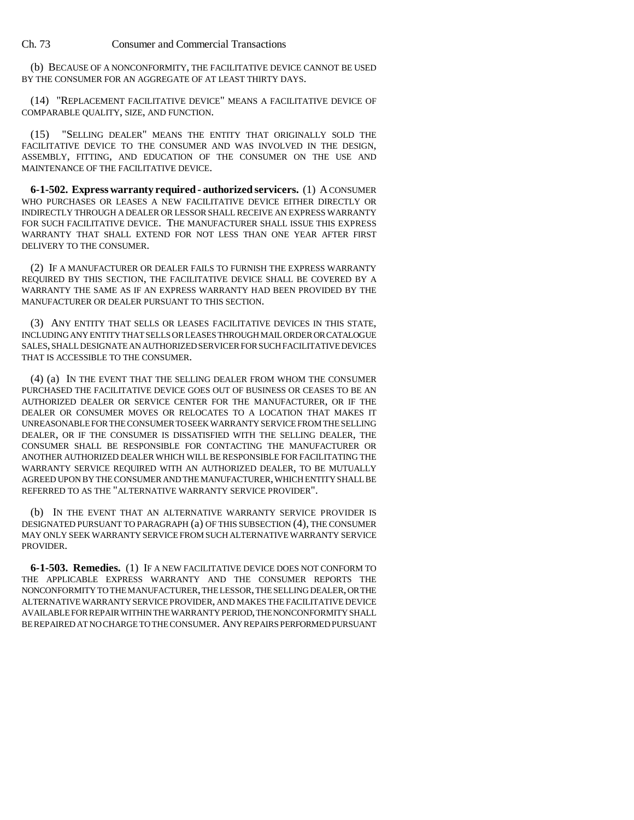Ch. 73 Consumer and Commercial Transactions

(b) BECAUSE OF A NONCONFORMITY, THE FACILITATIVE DEVICE CANNOT BE USED BY THE CONSUMER FOR AN AGGREGATE OF AT LEAST THIRTY DAYS.

(14) "REPLACEMENT FACILITATIVE DEVICE" MEANS A FACILITATIVE DEVICE OF COMPARABLE QUALITY, SIZE, AND FUNCTION.

(15) "SELLING DEALER" MEANS THE ENTITY THAT ORIGINALLY SOLD THE FACILITATIVE DEVICE TO THE CONSUMER AND WAS INVOLVED IN THE DESIGN, ASSEMBLY, FITTING, AND EDUCATION OF THE CONSUMER ON THE USE AND MAINTENANCE OF THE FACILITATIVE DEVICE.

**6-1-502. Express warranty required - authorized servicers.** (1) A CONSUMER WHO PURCHASES OR LEASES A NEW FACILITATIVE DEVICE EITHER DIRECTLY OR INDIRECTLY THROUGH A DEALER OR LESSOR SHALL RECEIVE AN EXPRESS WARRANTY FOR SUCH FACILITATIVE DEVICE. THE MANUFACTURER SHALL ISSUE THIS EXPRESS WARRANTY THAT SHALL EXTEND FOR NOT LESS THAN ONE YEAR AFTER FIRST DELIVERY TO THE CONSUMER.

(2) IF A MANUFACTURER OR DEALER FAILS TO FURNISH THE EXPRESS WARRANTY REQUIRED BY THIS SECTION, THE FACILITATIVE DEVICE SHALL BE COVERED BY A WARRANTY THE SAME AS IF AN EXPRESS WARRANTY HAD BEEN PROVIDED BY THE MANUFACTURER OR DEALER PURSUANT TO THIS SECTION.

(3) ANY ENTITY THAT SELLS OR LEASES FACILITATIVE DEVICES IN THIS STATE, INCLUDING ANY ENTITY THAT SELLS OR LEASES THROUGH MAIL ORDER OR CATALOGUE SALES, SHALL DESIGNATE AN AUTHORIZED SERVICER FOR SUCH FACILITATIVE DEVICES THAT IS ACCESSIBLE TO THE CONSUMER.

(4) (a) IN THE EVENT THAT THE SELLING DEALER FROM WHOM THE CONSUMER PURCHASED THE FACILITATIVE DEVICE GOES OUT OF BUSINESS OR CEASES TO BE AN AUTHORIZED DEALER OR SERVICE CENTER FOR THE MANUFACTURER, OR IF THE DEALER OR CONSUMER MOVES OR RELOCATES TO A LOCATION THAT MAKES IT UNREASONABLE FOR THE CONSUMER TO SEEK WARRANTY SERVICE FROM THE SELLING DEALER, OR IF THE CONSUMER IS DISSATISFIED WITH THE SELLING DEALER, THE CONSUMER SHALL BE RESPONSIBLE FOR CONTACTING THE MANUFACTURER OR ANOTHER AUTHORIZED DEALER WHICH WILL BE RESPONSIBLE FOR FACILITATING THE WARRANTY SERVICE REQUIRED WITH AN AUTHORIZED DEALER, TO BE MUTUALLY AGREED UPON BY THE CONSUMER AND THE MANUFACTURER, WHICH ENTITY SHALL BE REFERRED TO AS THE "ALTERNATIVE WARRANTY SERVICE PROVIDER".

(b) IN THE EVENT THAT AN ALTERNATIVE WARRANTY SERVICE PROVIDER IS DESIGNATED PURSUANT TO PARAGRAPH (a) OF THIS SUBSECTION (4), THE CONSUMER MAY ONLY SEEK WARRANTY SERVICE FROM SUCH ALTERNATIVE WARRANTY SERVICE PROVIDER.

**6-1-503. Remedies.** (1) IF A NEW FACILITATIVE DEVICE DOES NOT CONFORM TO THE APPLICABLE EXPRESS WARRANTY AND THE CONSUMER REPORTS THE NONCONFORMITY TO THE MANUFACTURER, THE LESSOR, THE SELLING DEALER, OR THE ALTERNATIVE WARRANTY SERVICE PROVIDER, AND MAKES THE FACILITATIVE DEVICE AVAILABLE FOR REPAIR WITHIN THE WARRANTY PERIOD, THE NONCONFORMITY SHALL BE REPAIRED AT NO CHARGE TO THE CONSUMER. ANY REPAIRS PERFORMED PURSUANT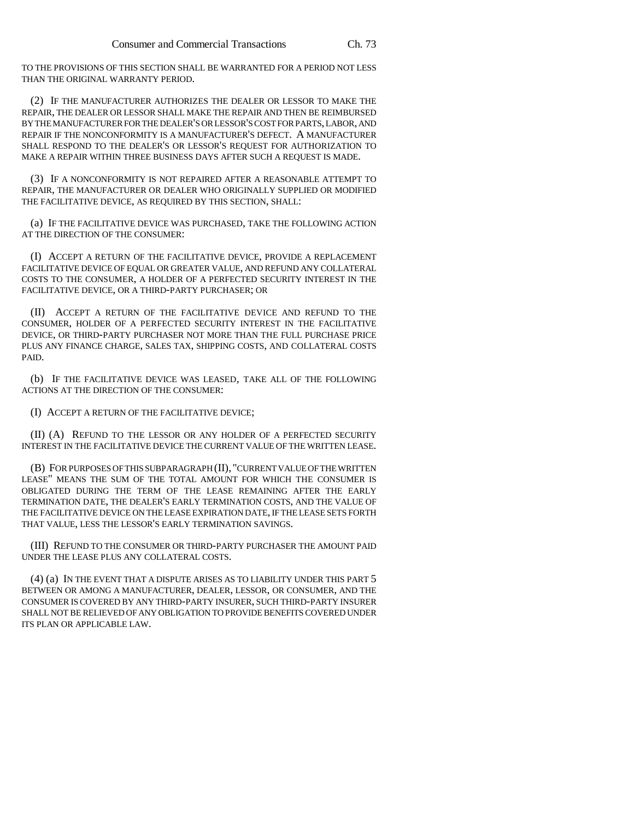TO THE PROVISIONS OF THIS SECTION SHALL BE WARRANTED FOR A PERIOD NOT LESS THAN THE ORIGINAL WARRANTY PERIOD.

(2) IF THE MANUFACTURER AUTHORIZES THE DEALER OR LESSOR TO MAKE THE REPAIR, THE DEALER OR LESSOR SHALL MAKE THE REPAIR AND THEN BE REIMBURSED BY THE MANUFACTURER FOR THE DEALER'S OR LESSOR'S COST FOR PARTS, LABOR, AND REPAIR IF THE NONCONFORMITY IS A MANUFACTURER'S DEFECT. A MANUFACTURER SHALL RESPOND TO THE DEALER'S OR LESSOR'S REQUEST FOR AUTHORIZATION TO MAKE A REPAIR WITHIN THREE BUSINESS DAYS AFTER SUCH A REQUEST IS MADE.

(3) IF A NONCONFORMITY IS NOT REPAIRED AFTER A REASONABLE ATTEMPT TO REPAIR, THE MANUFACTURER OR DEALER WHO ORIGINALLY SUPPLIED OR MODIFIED THE FACILITATIVE DEVICE, AS REQUIRED BY THIS SECTION, SHALL:

(a) IF THE FACILITATIVE DEVICE WAS PURCHASED, TAKE THE FOLLOWING ACTION AT THE DIRECTION OF THE CONSUMER:

(I) ACCEPT A RETURN OF THE FACILITATIVE DEVICE, PROVIDE A REPLACEMENT FACILITATIVE DEVICE OF EQUAL OR GREATER VALUE, AND REFUND ANY COLLATERAL COSTS TO THE CONSUMER, A HOLDER OF A PERFECTED SECURITY INTEREST IN THE FACILITATIVE DEVICE, OR A THIRD-PARTY PURCHASER; OR

(II) ACCEPT A RETURN OF THE FACILITATIVE DEVICE AND REFUND TO THE CONSUMER, HOLDER OF A PERFECTED SECURITY INTEREST IN THE FACILITATIVE DEVICE, OR THIRD-PARTY PURCHASER NOT MORE THAN THE FULL PURCHASE PRICE PLUS ANY FINANCE CHARGE, SALES TAX, SHIPPING COSTS, AND COLLATERAL COSTS PAID.

(b) IF THE FACILITATIVE DEVICE WAS LEASED, TAKE ALL OF THE FOLLOWING ACTIONS AT THE DIRECTION OF THE CONSUMER:

(I) ACCEPT A RETURN OF THE FACILITATIVE DEVICE;

(II) (A) REFUND TO THE LESSOR OR ANY HOLDER OF A PERFECTED SECURITY INTEREST IN THE FACILITATIVE DEVICE THE CURRENT VALUE OF THE WRITTEN LEASE.

(B) FOR PURPOSES OF THIS SUBPARAGRAPH (II), "CURRENT VALUE OF THE WRITTEN LEASE" MEANS THE SUM OF THE TOTAL AMOUNT FOR WHICH THE CONSUMER IS OBLIGATED DURING THE TERM OF THE LEASE REMAINING AFTER THE EARLY TERMINATION DATE, THE DEALER'S EARLY TERMINATION COSTS, AND THE VALUE OF THE FACILITATIVE DEVICE ON THE LEASE EXPIRATION DATE, IF THE LEASE SETS FORTH THAT VALUE, LESS THE LESSOR'S EARLY TERMINATION SAVINGS.

(III) REFUND TO THE CONSUMER OR THIRD-PARTY PURCHASER THE AMOUNT PAID UNDER THE LEASE PLUS ANY COLLATERAL COSTS.

(4) (a) IN THE EVENT THAT A DISPUTE ARISES AS TO LIABILITY UNDER THIS PART 5 BETWEEN OR AMONG A MANUFACTURER, DEALER, LESSOR, OR CONSUMER, AND THE CONSUMER IS COVERED BY ANY THIRD-PARTY INSURER, SUCH THIRD-PARTY INSURER SHALL NOT BE RELIEVED OF ANY OBLIGATION TO PROVIDE BENEFITS COVERED UNDER ITS PLAN OR APPLICABLE LAW.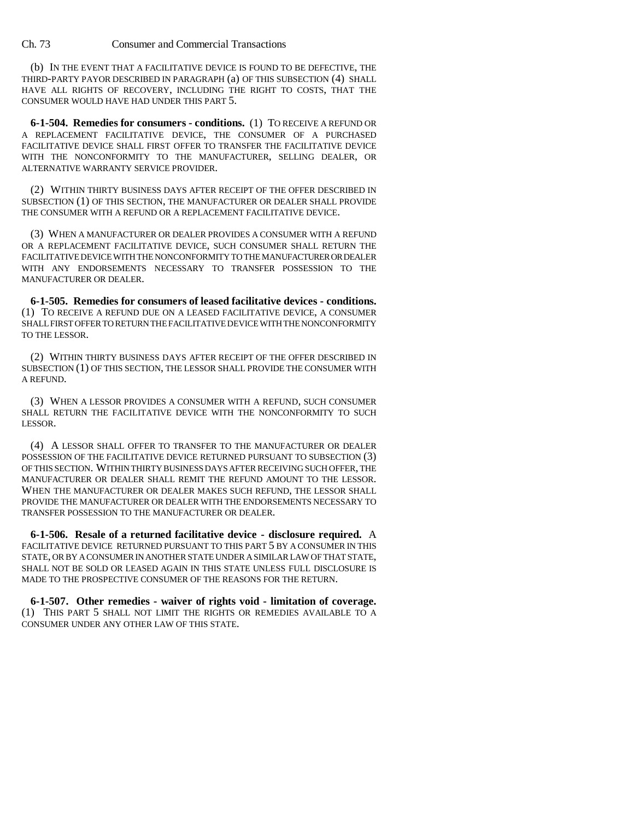(b) IN THE EVENT THAT A FACILITATIVE DEVICE IS FOUND TO BE DEFECTIVE, THE THIRD-PARTY PAYOR DESCRIBED IN PARAGRAPH (a) OF THIS SUBSECTION (4) SHALL HAVE ALL RIGHTS OF RECOVERY, INCLUDING THE RIGHT TO COSTS, THAT THE CONSUMER WOULD HAVE HAD UNDER THIS PART 5.

**6-1-504. Remedies for consumers - conditions.** (1) TO RECEIVE A REFUND OR A REPLACEMENT FACILITATIVE DEVICE, THE CONSUMER OF A PURCHASED FACILITATIVE DEVICE SHALL FIRST OFFER TO TRANSFER THE FACILITATIVE DEVICE WITH THE NONCONFORMITY TO THE MANUFACTURER, SELLING DEALER, OR ALTERNATIVE WARRANTY SERVICE PROVIDER.

(2) WITHIN THIRTY BUSINESS DAYS AFTER RECEIPT OF THE OFFER DESCRIBED IN SUBSECTION (1) OF THIS SECTION, THE MANUFACTURER OR DEALER SHALL PROVIDE THE CONSUMER WITH A REFUND OR A REPLACEMENT FACILITATIVE DEVICE.

(3) WHEN A MANUFACTURER OR DEALER PROVIDES A CONSUMER WITH A REFUND OR A REPLACEMENT FACILITATIVE DEVICE, SUCH CONSUMER SHALL RETURN THE FACILITATIVE DEVICE WITH THE NONCONFORMITY TO THE MANUFACTURER OR DEALER WITH ANY ENDORSEMENTS NECESSARY TO TRANSFER POSSESSION TO THE MANUFACTURER OR DEALER.

**6-1-505. Remedies for consumers of leased facilitative devices - conditions.** (1) TO RECEIVE A REFUND DUE ON A LEASED FACILITATIVE DEVICE, A CONSUMER SHALL FIRST OFFER TO RETURN THE FACILITATIVE DEVICE WITH THE NONCONFORMITY TO THE LESSOR.

(2) WITHIN THIRTY BUSINESS DAYS AFTER RECEIPT OF THE OFFER DESCRIBED IN SUBSECTION (1) OF THIS SECTION, THE LESSOR SHALL PROVIDE THE CONSUMER WITH A REFUND.

(3) WHEN A LESSOR PROVIDES A CONSUMER WITH A REFUND, SUCH CONSUMER SHALL RETURN THE FACILITATIVE DEVICE WITH THE NONCONFORMITY TO SUCH LESSOR.

(4) A LESSOR SHALL OFFER TO TRANSFER TO THE MANUFACTURER OR DEALER POSSESSION OF THE FACILITATIVE DEVICE RETURNED PURSUANT TO SUBSECTION (3) OF THIS SECTION. WITHIN THIRTY BUSINESS DAYS AFTER RECEIVING SUCH OFFER, THE MANUFACTURER OR DEALER SHALL REMIT THE REFUND AMOUNT TO THE LESSOR. WHEN THE MANUFACTURER OR DEALER MAKES SUCH REFUND, THE LESSOR SHALL PROVIDE THE MANUFACTURER OR DEALER WITH THE ENDORSEMENTS NECESSARY TO TRANSFER POSSESSION TO THE MANUFACTURER OR DEALER.

**6-1-506. Resale of a returned facilitative device - disclosure required.** A FACILITATIVE DEVICE RETURNED PURSUANT TO THIS PART 5 BY A CONSUMER IN THIS STATE, OR BY A CONSUMER IN ANOTHER STATE UNDER A SIMILAR LAW OF THAT STATE, SHALL NOT BE SOLD OR LEASED AGAIN IN THIS STATE UNLESS FULL DISCLOSURE IS MADE TO THE PROSPECTIVE CONSUMER OF THE REASONS FOR THE RETURN.

**6-1-507. Other remedies - waiver of rights void - limitation of coverage.** (1) THIS PART 5 SHALL NOT LIMIT THE RIGHTS OR REMEDIES AVAILABLE TO A CONSUMER UNDER ANY OTHER LAW OF THIS STATE.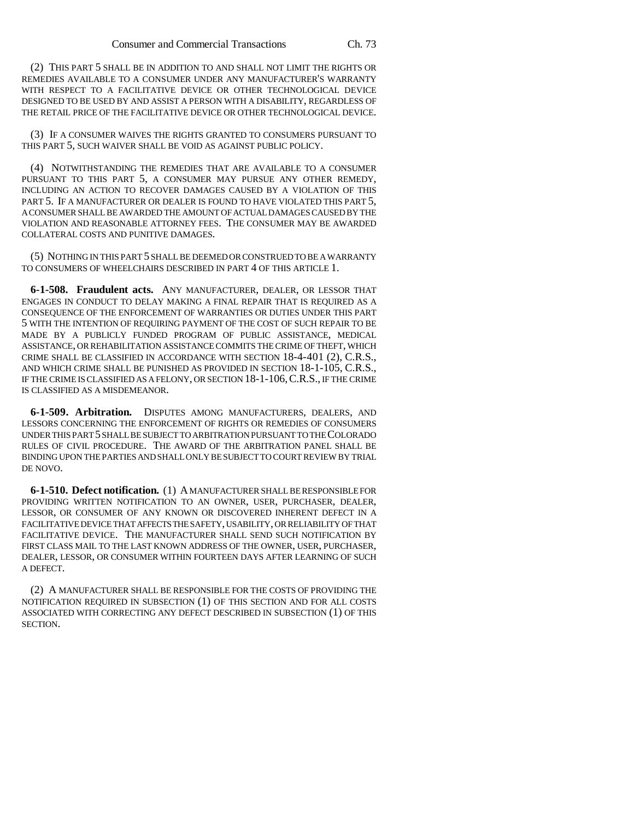(2) THIS PART 5 SHALL BE IN ADDITION TO AND SHALL NOT LIMIT THE RIGHTS OR REMEDIES AVAILABLE TO A CONSUMER UNDER ANY MANUFACTURER'S WARRANTY WITH RESPECT TO A FACILITATIVE DEVICE OR OTHER TECHNOLOGICAL DEVICE DESIGNED TO BE USED BY AND ASSIST A PERSON WITH A DISABILITY, REGARDLESS OF THE RETAIL PRICE OF THE FACILITATIVE DEVICE OR OTHER TECHNOLOGICAL DEVICE.

(3) IF A CONSUMER WAIVES THE RIGHTS GRANTED TO CONSUMERS PURSUANT TO THIS PART 5, SUCH WAIVER SHALL BE VOID AS AGAINST PUBLIC POLICY.

(4) NOTWITHSTANDING THE REMEDIES THAT ARE AVAILABLE TO A CONSUMER PURSUANT TO THIS PART 5, A CONSUMER MAY PURSUE ANY OTHER REMEDY, INCLUDING AN ACTION TO RECOVER DAMAGES CAUSED BY A VIOLATION OF THIS PART 5. IF A MANUFACTURER OR DEALER IS FOUND TO HAVE VIOLATED THIS PART 5, A CONSUMER SHALL BE AWARDED THE AMOUNT OF ACTUAL DAMAGES CAUSED BY THE VIOLATION AND REASONABLE ATTORNEY FEES. THE CONSUMER MAY BE AWARDED COLLATERAL COSTS AND PUNITIVE DAMAGES.

(5) NOTHING IN THIS PART 5 SHALL BE DEEMED OR CONSTRUED TO BE A WARRANTY TO CONSUMERS OF WHEELCHAIRS DESCRIBED IN PART 4 OF THIS ARTICLE 1.

**6-1-508. Fraudulent acts.** ANY MANUFACTURER, DEALER, OR LESSOR THAT ENGAGES IN CONDUCT TO DELAY MAKING A FINAL REPAIR THAT IS REQUIRED AS A CONSEQUENCE OF THE ENFORCEMENT OF WARRANTIES OR DUTIES UNDER THIS PART 5 WITH THE INTENTION OF REQUIRING PAYMENT OF THE COST OF SUCH REPAIR TO BE MADE BY A PUBLICLY FUNDED PROGRAM OF PUBLIC ASSISTANCE, MEDICAL ASSISTANCE, OR REHABILITATION ASSISTANCE COMMITS THE CRIME OF THEFT, WHICH CRIME SHALL BE CLASSIFIED IN ACCORDANCE WITH SECTION 18-4-401 (2), C.R.S., AND WHICH CRIME SHALL BE PUNISHED AS PROVIDED IN SECTION 18-1-105, C.R.S., IF THE CRIME IS CLASSIFIED AS A FELONY, OR SECTION 18-1-106,C.R.S., IF THE CRIME IS CLASSIFIED AS A MISDEMEANOR.

**6-1-509. Arbitration.** DISPUTES AMONG MANUFACTURERS, DEALERS, AND LESSORS CONCERNING THE ENFORCEMENT OF RIGHTS OR REMEDIES OF CONSUMERS UNDER THIS PART 5 SHALL BE SUBJECT TO ARBITRATION PURSUANT TO THE COLORADO RULES OF CIVIL PROCEDURE. THE AWARD OF THE ARBITRATION PANEL SHALL BE BINDING UPON THE PARTIES AND SHALL ONLY BE SUBJECT TO COURT REVIEW BY TRIAL DE NOVO.

**6-1-510. Defect notification.** (1) A MANUFACTURER SHALL BE RESPONSIBLE FOR PROVIDING WRITTEN NOTIFICATION TO AN OWNER, USER, PURCHASER, DEALER, LESSOR, OR CONSUMER OF ANY KNOWN OR DISCOVERED INHERENT DEFECT IN A FACILITATIVE DEVICE THAT AFFECTS THE SAFETY, USABILITY, OR RELIABILITY OF THAT FACILITATIVE DEVICE. THE MANUFACTURER SHALL SEND SUCH NOTIFICATION BY FIRST CLASS MAIL TO THE LAST KNOWN ADDRESS OF THE OWNER, USER, PURCHASER, DEALER, LESSOR, OR CONSUMER WITHIN FOURTEEN DAYS AFTER LEARNING OF SUCH A DEFECT.

(2) A MANUFACTURER SHALL BE RESPONSIBLE FOR THE COSTS OF PROVIDING THE NOTIFICATION REQUIRED IN SUBSECTION (1) OF THIS SECTION AND FOR ALL COSTS ASSOCIATED WITH CORRECTING ANY DEFECT DESCRIBED IN SUBSECTION (1) OF THIS SECTION.